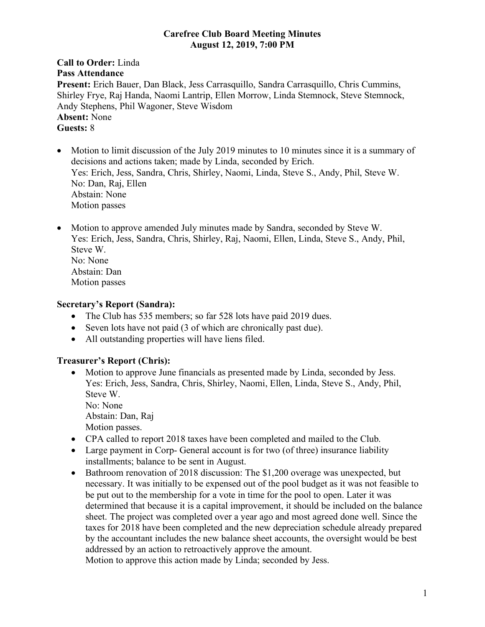#### **Carefree Club Board Meeting Minutes August 12, 2019, 7:00 PM**

### **Call to Order:** Linda **Pass Attendance Present:** Erich Bauer, Dan Black, Jess Carrasquillo, Sandra Carrasquillo, Chris Cummins, Shirley Frye, Raj Handa, Naomi Lantrip, Ellen Morrow, Linda Stemnock, Steve Stemnock, Andy Stephens, Phil Wagoner, Steve Wisdom **Absent:** None **Guests:** 8

- Motion to limit discussion of the July 2019 minutes to 10 minutes since it is a summary of decisions and actions taken; made by Linda, seconded by Erich. Yes: Erich, Jess, Sandra, Chris, Shirley, Naomi, Linda, Steve S., Andy, Phil, Steve W. No: Dan, Raj, Ellen Abstain: None Motion passes
- Motion to approve amended July minutes made by Sandra, seconded by Steve W. Yes: Erich, Jess, Sandra, Chris, Shirley, Raj, Naomi, Ellen, Linda, Steve S., Andy, Phil, Steve W. No: None Abstain: Dan Motion passes

### **Secretary's Report (Sandra):**

- The Club has 535 members; so far 528 lots have paid 2019 dues.
- Seven lots have not paid (3 of which are chronically past due).
- All outstanding properties will have liens filed.

### **Treasurer's Report (Chris):**

- Motion to approve June financials as presented made by Linda, seconded by Jess. Yes: Erich, Jess, Sandra, Chris, Shirley, Naomi, Ellen, Linda, Steve S., Andy, Phil, Steve W. No: None Abstain: Dan, Raj Motion passes.
- CPA called to report 2018 taxes have been completed and mailed to the Club.
- Large payment in Corp- General account is for two (of three) insurance liability installments; balance to be sent in August.
- Bathroom renovation of 2018 discussion: The \$1,200 overage was unexpected, but necessary. It was initially to be expensed out of the pool budget as it was not feasible to be put out to the membership for a vote in time for the pool to open. Later it was determined that because it is a capital improvement, it should be included on the balance sheet. The project was completed over a year ago and most agreed done well. Since the taxes for 2018 have been completed and the new depreciation schedule already prepared by the accountant includes the new balance sheet accounts, the oversight would be best addressed by an action to retroactively approve the amount.

Motion to approve this action made by Linda; seconded by Jess.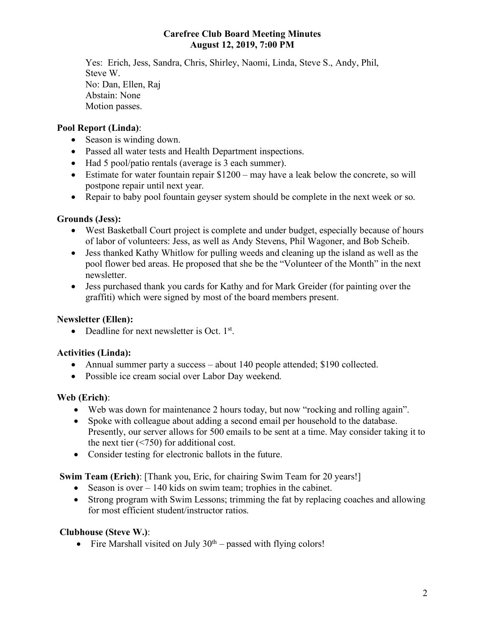### **Carefree Club Board Meeting Minutes August 12, 2019, 7:00 PM**

Yes: Erich, Jess, Sandra, Chris, Shirley, Naomi, Linda, Steve S., Andy, Phil, Steve W. No: Dan, Ellen, Raj Abstain: None Motion passes.

## **Pool Report (Linda)**:

- Season is winding down.
- Passed all water tests and Health Department inspections.
- Had 5 pool/patio rentals (average is 3 each summer).
- Estimate for water fountain repair \$1200 may have a leak below the concrete, so will postpone repair until next year.
- Repair to baby pool fountain geyser system should be complete in the next week or so.

## **Grounds (Jess):**

- West Basketball Court project is complete and under budget, especially because of hours of labor of volunteers: Jess, as well as Andy Stevens, Phil Wagoner, and Bob Scheib.
- Jess thanked Kathy Whitlow for pulling weeds and cleaning up the island as well as the pool flower bed areas. He proposed that she be the "Volunteer of the Month" in the next newsletter.
- Jess purchased thank you cards for Kathy and for Mark Greider (for painting over the graffiti) which were signed by most of the board members present.

## **Newsletter (Ellen):**

• Deadline for next newsletter is Oct. 1st.

### **Activities (Linda):**

- Annual summer party a success about 140 people attended; \$190 collected.
- Possible ice cream social over Labor Day weekend.

# **Web (Erich)**:

- Web was down for maintenance 2 hours today, but now "rocking and rolling again".
- Spoke with colleague about adding a second email per household to the database. Presently, our server allows for 500 emails to be sent at a time. May consider taking it to the next tier (<750) for additional cost.
- Consider testing for electronic ballots in the future.

**Swim Team (Erich)**: [Thank you, Eric, for chairing Swim Team for 20 years!]

- Season is over 140 kids on swim team; trophies in the cabinet.
- Strong program with Swim Lessons; trimming the fat by replacing coaches and allowing for most efficient student/instructor ratios.

# **Clubhouse (Steve W.)**:

• Fire Marshall visited on July  $30<sup>th</sup>$  – passed with flying colors!